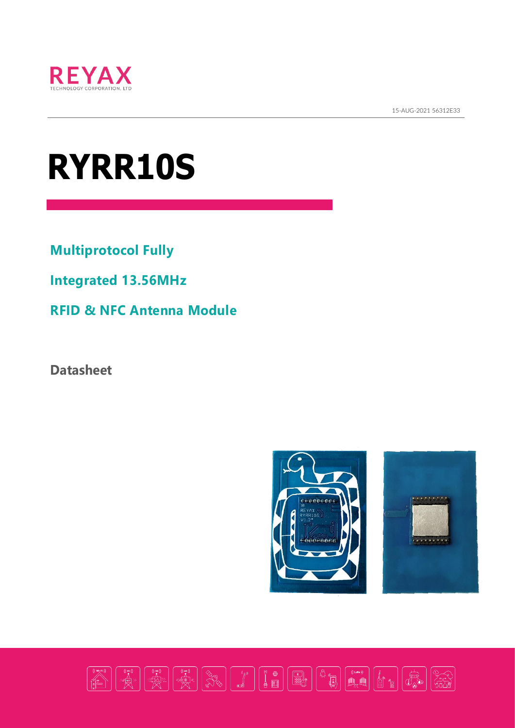

15-AUG-2021 56312E33  $\frac{1}{2}$ 

# **RYRR10S**

**Multiprotocol Fully** 

**Integrated 13.56MHz** 

**RFID & NFC Antenna Module**

**Datasheet**



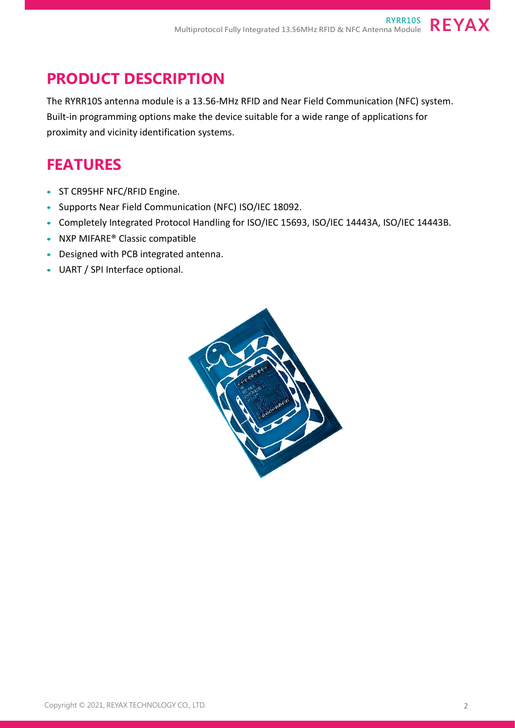## **PRODUCT DESCRIPTION**

The RYRR10S antenna module is a 13.56-MHz RFID and Near Field Communication (NFC) system. Built-in programming options make the device suitable for a wide range of applications for proximity and vicinity identification systems.

#### **FEATURES**

- ST CR95HF NFC/RFID Engine.
- Supports Near Field Communication (NFC) ISO/IEC 18092.
- Completely Integrated Protocol Handling for ISO/IEC 15693, ISO/IEC 14443A, ISO/IEC 14443B.
- NXP MIFARE<sup>®</sup> Classic compatible
- Designed with PCB integrated antenna.
- UART / SPI Interface optional.

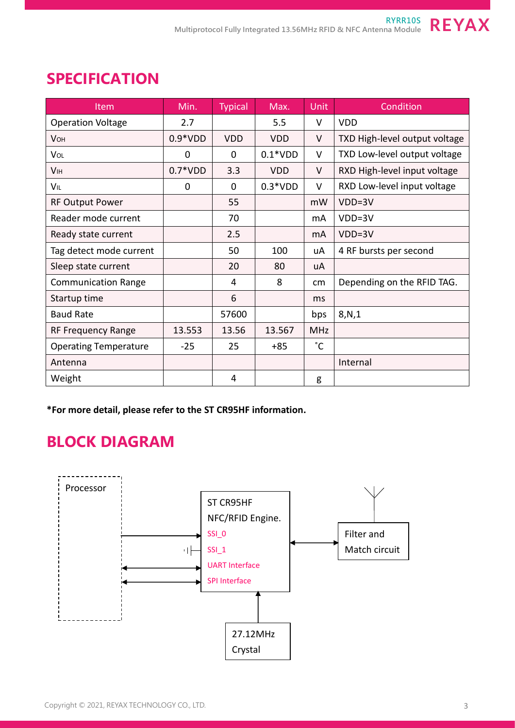| Item                         | Min.      | <b>Typical</b> | Max.       | <b>Unit</b>     | Condition                     |
|------------------------------|-----------|----------------|------------|-----------------|-------------------------------|
| <b>Operation Voltage</b>     | 2.7       |                | 5.5        | V               | <b>VDD</b>                    |
| <b>VOH</b>                   | $0.9*VDD$ | <b>VDD</b>     | <b>VDD</b> | V               | TXD High-level output voltage |
| VOL                          | 0         | 0              | $0.1*VDD$  | V               | TXD Low-level output voltage  |
| <b>V<sub>IH</sub></b>        | $0.7*VDD$ | 3.3            | <b>VDD</b> | V               | RXD High-level input voltage  |
| VIL                          | 0         | $\mathbf 0$    | $0.3*VDD$  | $\vee$          | RXD Low-level input voltage   |
| <b>RF Output Power</b>       |           | 55             |            | mW              | $VDD=3V$                      |
| Reader mode current          |           | 70             |            | mA              | VDD=3V                        |
| Ready state current          |           | 2.5            |            | mA              | VDD=3V                        |
| Tag detect mode current      |           | 50             | 100        | uA              | 4 RF bursts per second        |
| Sleep state current          |           | 20             | 80         | uA              |                               |
| <b>Communication Range</b>   |           | 4              | 8          | cm <sub>2</sub> | Depending on the RFID TAG.    |
| Startup time                 |           | 6              |            | ms              |                               |
| <b>Baud Rate</b>             |           | 57600          |            | bps             | 8,N,1                         |
| <b>RF Frequency Range</b>    | 13.553    | 13.56          | 13.567     | <b>MHz</b>      |                               |
| <b>Operating Temperature</b> | $-25$     | 25             | $+85$      | $\degree$ C     |                               |
| Antenna                      |           |                |            |                 | Internal                      |
| Weight                       |           | 4              |            | g               |                               |

#### **SPECIFICATION**

**\*For more detail, please refer to the ST CR95HF information.**

# **BLOCK DIAGRAM**

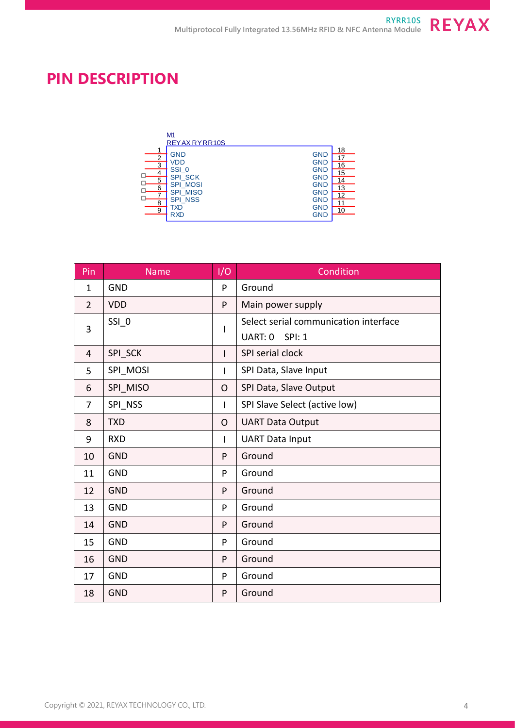# **PIN DESCRIPTION**

|                                                     | M1<br>REYAX RYRR10S                                                                                                         |                                                                                                                            |                                                    |
|-----------------------------------------------------|-----------------------------------------------------------------------------------------------------------------------------|----------------------------------------------------------------------------------------------------------------------------|----------------------------------------------------|
| 1<br>2<br>3<br>с<br>5<br>с<br>6<br>с<br>г<br>8<br>9 | <b>GND</b><br>VDD<br>$SSI_0$<br><b>SPI_SCK</b><br><b>SPI MOSI</b><br><b>SPI MISO</b><br><b>SPI_NSS</b><br>TXD<br><b>RXD</b> | <b>GND</b><br><b>GND</b><br><b>GND</b><br><b>GND</b><br><b>GND</b><br><b>GND</b><br><b>GND</b><br><b>GND</b><br><b>GND</b> | 18<br>17<br>16<br>15<br>14<br>13<br>12<br>11<br>10 |

| Pin            | <b>Name</b> | I/O          | Condition                             |  |
|----------------|-------------|--------------|---------------------------------------|--|
| 1              | <b>GND</b>  | P            | Ground                                |  |
| $\overline{2}$ | <b>VDD</b>  | P            | Main power supply                     |  |
| 3              | SSI 0       | L            | Select serial communication interface |  |
|                |             |              | UART: 0<br><b>SPI: 1</b>              |  |
| 4              | SPI SCK     | $\mathbf{I}$ | SPI serial clock                      |  |
| 5              | SPI_MOSI    | $\mathbf{I}$ | SPI Data, Slave Input                 |  |
| 6              | SPI MISO    | O            | SPI Data, Slave Output                |  |
| 7              | SPI NSS     | $\mathbf{I}$ | SPI Slave Select (active low)         |  |
| 8              | <b>TXD</b>  | O            | <b>UART Data Output</b>               |  |
| 9              | <b>RXD</b>  | Т            | <b>UART Data Input</b>                |  |
| 10             | <b>GND</b>  | P            | Ground                                |  |
| 11             | <b>GND</b>  | P            | Ground                                |  |
| 12             | <b>GND</b>  | P            | Ground                                |  |
| 13             | <b>GND</b>  | P            | Ground                                |  |
| 14             | <b>GND</b>  | P            | Ground                                |  |
| 15             | <b>GND</b>  | P            | Ground                                |  |
| 16             | <b>GND</b>  | P            | Ground                                |  |
| 17             | <b>GND</b>  | P            | Ground                                |  |
| 18             | <b>GND</b>  | P            | Ground                                |  |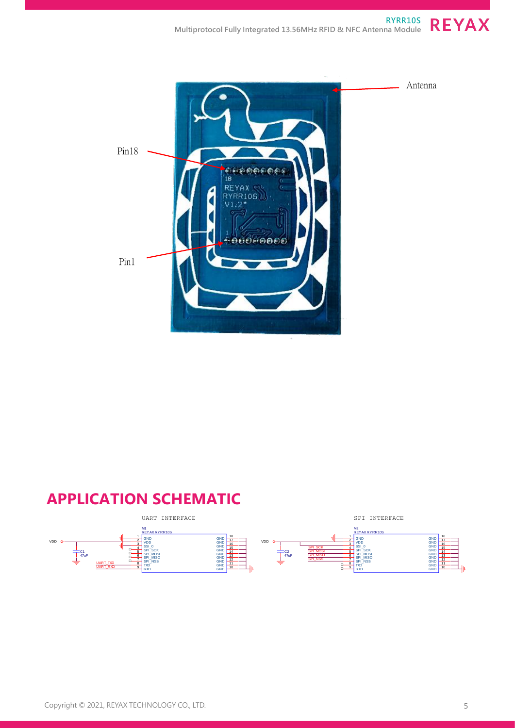



# **APPLICATION SCHEMATIC**

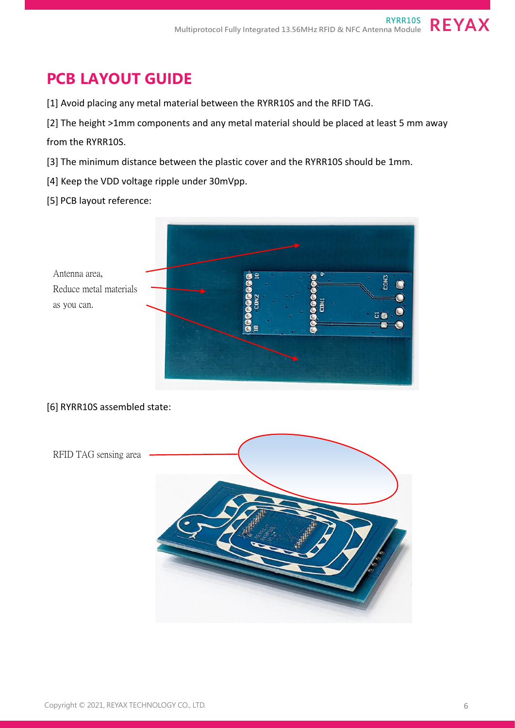# **PCB LAYOUT GUIDE**

- [1] Avoid placing any metal material between the RYRR10S and the RFID TAG.
- [2] The height >1mm components and any metal material should be placed at least 5 mm away from the RYRR10S.
- [3] The minimum distance between the plastic cover and the RYRR10S should be 1mm.
- [4] Keep the VDD voltage ripple under 30mVpp.
- [5] PCB layout reference:



#### [6] RYRR10S assembled state:

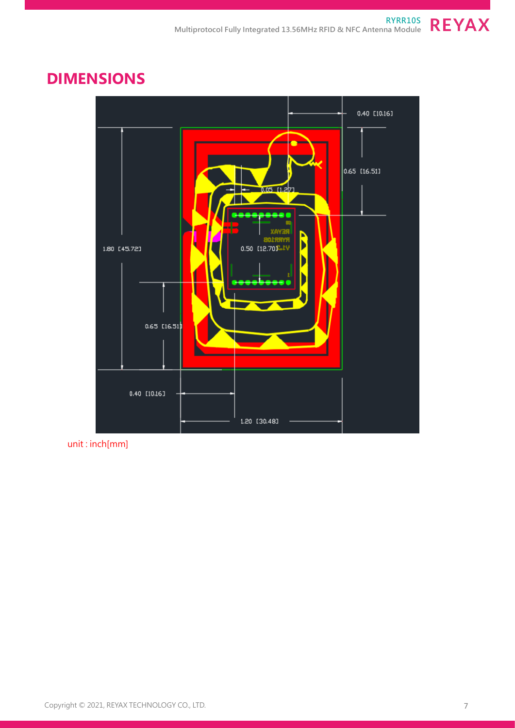#### **DIMENSIONS**



unit : inch[mm]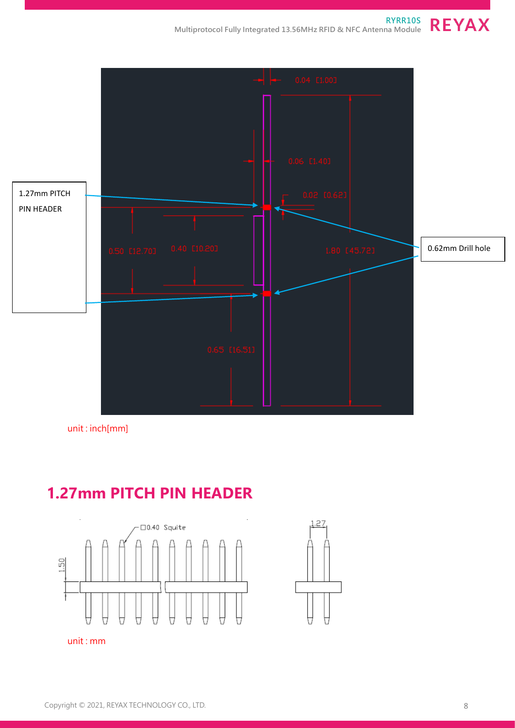

unit : inch[mm]

# **1.27mm PITCH PIN HEADER**



unit : mm

0.62mm Drill hole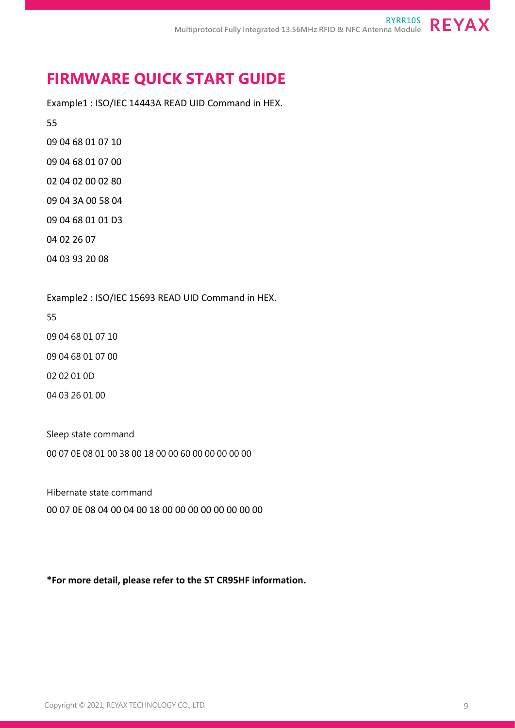#### **FIRMWARE QUICK START GUIDE**

Example1 : ISO/IEC 14443A READ UID Command in HEX.

55

09 04 68 01 07 10

09 04 68 01 07 00

02 04 02 00 02 80

09 04 3A 00 58 04

09 04 68 01 01 D3

04 02 26 07

04 03 93 20 08

Example2 : ISO/IEC 15693 READ UID Command in HEX.

55

09 04 68 01 07 10

09 04 68 01 07 00

02 02 01 0D

04 03 26 01 00

Sleep state command 00 07 0E 08 01 00 38 00 18 00 00 60 00 00 00 00 00

Hibernate state command

00 07 0E 08 04 00 04 00 18 00 00 00 00 00 00 00 00

**\*For more detail, please refer to the ST CR95HF information.**